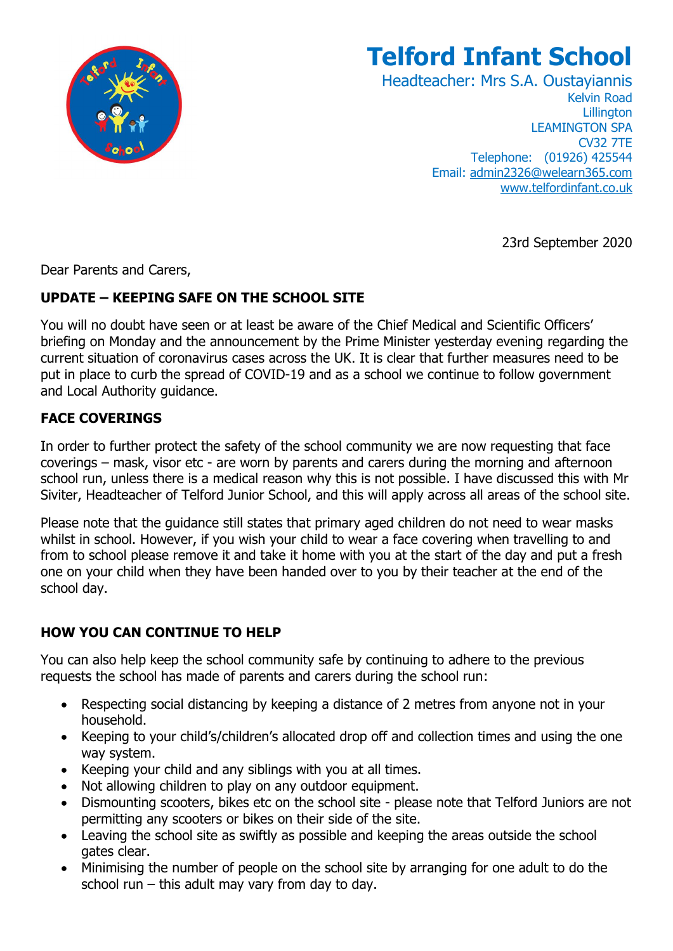

# **Telford Infant School**

Headteacher: Mrs S.A. Oustayiannis Kelvin Road **Lillington** LEAMINGTON SPA CV32 7TE Telephone: (01926) 425544 Email: [admin2326@welearn365.com](mailto:admin2326@welearn365.com) [www.telfordinfant.co.uk](http://www.telfordinfant.co.uk/)

23rd September 2020

Dear Parents and Carers,

### **UPDATE – KEEPING SAFE ON THE SCHOOL SITE**

You will no doubt have seen or at least be aware of the Chief Medical and Scientific Officers' briefing on Monday and the announcement by the Prime Minister yesterday evening regarding the current situation of coronavirus cases across the UK. It is clear that further measures need to be put in place to curb the spread of COVID-19 and as a school we continue to follow government and Local Authority guidance.

### **FACE COVERINGS**

In order to further protect the safety of the school community we are now requesting that face coverings – mask, visor etc - are worn by parents and carers during the morning and afternoon school run, unless there is a medical reason why this is not possible. I have discussed this with Mr Siviter, Headteacher of Telford Junior School, and this will apply across all areas of the school site.

Please note that the guidance still states that primary aged children do not need to wear masks whilst in school. However, if you wish your child to wear a face covering when travelling to and from to school please remove it and take it home with you at the start of the day and put a fresh one on your child when they have been handed over to you by their teacher at the end of the school day.

## **HOW YOU CAN CONTINUE TO HELP**

You can also help keep the school community safe by continuing to adhere to the previous requests the school has made of parents and carers during the school run:

- Respecting social distancing by keeping a distance of 2 metres from anyone not in your household.
- Keeping to your child's/children's allocated drop off and collection times and using the one way system.
- Keeping your child and any siblings with you at all times.
- Not allowing children to play on any outdoor equipment.
- Dismounting scooters, bikes etc on the school site please note that Telford Juniors are not permitting any scooters or bikes on their side of the site.
- Leaving the school site as swiftly as possible and keeping the areas outside the school gates clear.
- Minimising the number of people on the school site by arranging for one adult to do the school run  $-$  this adult may vary from day to day.